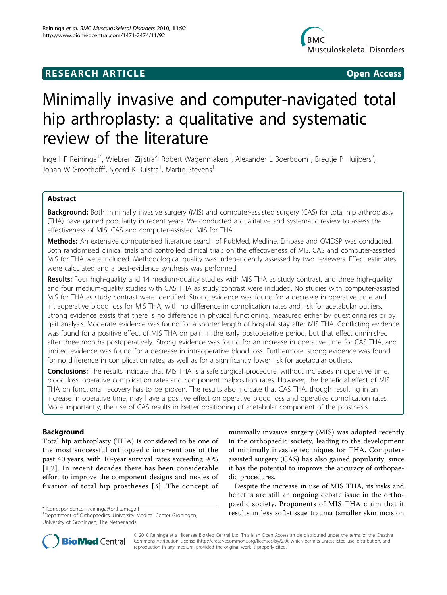## **RESEARCH ARTICLE Example 2018 CONSIDERING ACCESS**



# Minimally invasive and computer-navigated total hip arthroplasty: a qualitative and systematic review of the literature

Inge HF Reininga<sup>1\*</sup>, Wiebren Zijlstra<sup>2</sup>, Robert Wagenmakers<sup>1</sup>, Alexander L Boerboom<sup>1</sup>, Bregtje P Huijbers<sup>2</sup> .<br>, Johan W Groothoff<sup>3</sup>, Sjoerd K Bulstra<sup>1</sup>, Martin Stevens<sup>1</sup>

## Abstract

**Background:** Both minimally invasive surgery (MIS) and computer-assisted surgery (CAS) for total hip arthroplasty (THA) have gained popularity in recent years. We conducted a qualitative and systematic review to assess the effectiveness of MIS, CAS and computer-assisted MIS for THA.

Methods: An extensive computerised literature search of PubMed, Medline, Embase and OVIDSP was conducted. Both randomised clinical trials and controlled clinical trials on the effectiveness of MIS, CAS and computer-assisted MIS for THA were included. Methodological quality was independently assessed by two reviewers. Effect estimates were calculated and a best-evidence synthesis was performed.

Results: Four high-quality and 14 medium-quality studies with MIS THA as study contrast, and three high-quality and four medium-quality studies with CAS THA as study contrast were included. No studies with computer-assisted MIS for THA as study contrast were identified. Strong evidence was found for a decrease in operative time and intraoperative blood loss for MIS THA, with no difference in complication rates and risk for acetabular outliers. Strong evidence exists that there is no difference in physical functioning, measured either by questionnaires or by gait analysis. Moderate evidence was found for a shorter length of hospital stay after MIS THA. Conflicting evidence was found for a positive effect of MIS THA on pain in the early postoperative period, but that effect diminished after three months postoperatively. Strong evidence was found for an increase in operative time for CAS THA, and limited evidence was found for a decrease in intraoperative blood loss. Furthermore, strong evidence was found for no difference in complication rates, as well as for a significantly lower risk for acetabular outliers.

Conclusions: The results indicate that MIS THA is a safe surgical procedure, without increases in operative time, blood loss, operative complication rates and component malposition rates. However, the beneficial effect of MIS THA on functional recovery has to be proven. The results also indicate that CAS THA, though resulting in an increase in operative time, may have a positive effect on operative blood loss and operative complication rates. More importantly, the use of CAS results in better positioning of acetabular component of the prosthesis.

## Background

Total hip arthroplasty (THA) is considered to be one of the most successful orthopaedic interventions of the past 40 years, with 10-year survival rates exceeding 90% [[1,2](#page-11-0)]. In recent decades there has been considerable effort to improve the component designs and modes of fixation of total hip prostheses [[3](#page-11-0)]. The concept of

minimally invasive surgery (MIS) was adopted recently in the orthopaedic society, leading to the development of minimally invasive techniques for THA. Computerassisted surgery (CAS) has also gained popularity, since it has the potential to improve the accuracy of orthopaedic procedures.

Despite the increase in use of MIS THA, its risks and benefits are still an ongoing debate issue in the orthopaedic society. Proponents of MIS THA claim that it \* Correspondence: [i.reininga@orth.umcg.nl](mailto:i.reininga@orth.umcg.nl)<br>
<sup>1</sup>Department of Orthopaedics University Medical Center Gropingen **Franklings Franklings Franklings Franklings Franklings Franklings Franklings Franklings Franklin** 



© 2010 Reininga et al; licensee BioMed Central Ltd. This is an Open Access article distributed under the terms of the Creative Commons Attribution License [\(http://creativecommons.org/licenses/by/2.0](http://creativecommons.org/licenses/by/2.0)), which permits unrestricted use, distribution, and reproduction in any medium, provided the original work is properly cited.

<sup>&</sup>lt;sup>1</sup>Department of Orthopaedics, University Medical Center Groningen, University of Groningen, The Netherlands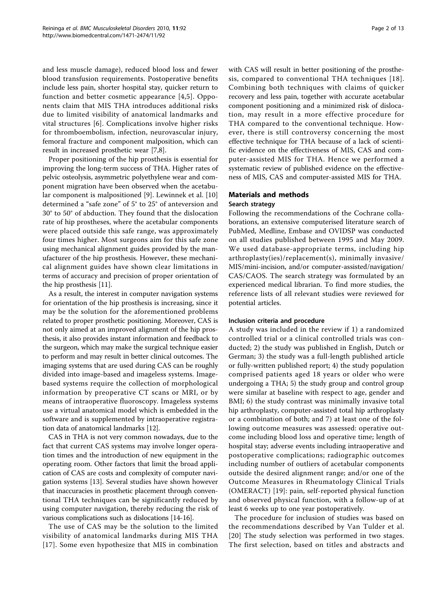and less muscle damage), reduced blood loss and fewer blood transfusion requirements. Postoperative benefits include less pain, shorter hospital stay, quicker return to function and better cosmetic appearance [[4,5\]](#page-11-0). Opponents claim that MIS THA introduces additional risks due to limited visibility of anatomical landmarks and vital structures [[6\]](#page-11-0). Complications involve higher risks for thromboembolism, infection, neurovascular injury, femoral fracture and component malposition, which can result in increased prosthetic wear [[7,8\]](#page-11-0).

Proper positioning of the hip prosthesis is essential for improving the long-term success of THA. Higher rates of pelvic osteolysis, asymmetric polyethylene wear and component migration have been observed when the acetabular component is malpositioned [[9\]](#page-11-0). Lewinnek et al. [\[10](#page-11-0)] determined a "safe zone" of 5° to 25° of anteversion and 30° to 50° of abduction. They found that the dislocation rate of hip prostheses, where the acetabular components were placed outside this safe range, was approximately four times higher. Most surgeons aim for this safe zone using mechanical alignment guides provided by the manufacturer of the hip prosthesis. However, these mechanical alignment guides have shown clear limitations in terms of accuracy and precision of proper orientation of the hip prosthesis [\[11](#page-11-0)].

As a result, the interest in computer navigation systems for orientation of the hip prosthesis is increasing, since it may be the solution for the aforementioned problems related to proper prosthetic positioning. Moreover, CAS is not only aimed at an improved alignment of the hip prosthesis, it also provides instant information and feedback to the surgeon, which may make the surgical technique easier to perform and may result in better clinical outcomes. The imaging systems that are used during CAS can be roughly divided into image-based and imageless systems. Imagebased systems require the collection of morphological information by preoperative CT scans or MRI, or by means of intraoperative fluoroscopy. Imageless systems use a virtual anatomical model which is embedded in the software and is supplemented by intraoperative registration data of anatomical landmarks [\[12\]](#page-11-0).

CAS in THA is not very common nowadays, due to the fact that current CAS systems may involve longer operation times and the introduction of new equipment in the operating room. Other factors that limit the broad application of CAS are costs and complexity of computer navigation systems [\[13\]](#page-11-0). Several studies have shown however that inaccuracies in prosthetic placement through conventional THA techniques can be significantly reduced by using computer navigation, thereby reducing the risk of various complications such as dislocations [[14](#page-11-0)-[16](#page-11-0)].

The use of CAS may be the solution to the limited visibility of anatomical landmarks during MIS THA [[17](#page-11-0)]. Some even hypothesize that MIS in combination with CAS will result in better positioning of the prosthesis, compared to conventional THA techniques [\[18\]](#page-11-0). Combining both techniques with claims of quicker recovery and less pain, together with accurate acetabular component positioning and a minimized risk of dislocation, may result in a more effective procedure for THA compared to the conventional technique. However, there is still controversy concerning the most effective technique for THA because of a lack of scientific evidence on the effectiveness of MIS, CAS and computer-assisted MIS for THA. Hence we performed a systematic review of published evidence on the effectiveness of MIS, CAS and computer-assisted MIS for THA.

## Materials and methods Search strategy

Following the recommendations of the Cochrane collaborations, an extensive computerised literature search of PubMed, Medline, Embase and OVIDSP was conducted on all studies published between 1995 and May 2009. We used database-appropriate terms, including hip arthroplasty(ies)/replacement(s), minimally invasive/ MIS/mini-incision, and/or computer-assisted/navigation/ CAS/CAOS. The search strategy was formulated by an experienced medical librarian. To find more studies, the reference lists of all relevant studies were reviewed for potential articles.

## Inclusion criteria and procedure

A study was included in the review if 1) a randomized controlled trial or a clinical controlled trials was conducted; 2) the study was published in English, Dutch or German; 3) the study was a full-length published article or fully-written published report; 4) the study population comprised patients aged 18 years or older who were undergoing a THA; 5) the study group and control group were similar at baseline with respect to age, gender and BMI; 6) the study contrast was minimally invasive total hip arthroplasty, computer-assisted total hip arthroplasty or a combination of both; and 7) at least one of the following outcome measures was assessed: operative outcome including blood loss and operative time; length of hospital stay; adverse events including intraoperative and postoperative complications; radiographic outcomes including number of outliers of acetabular components outside the desired alignment range; and/or one of the Outcome Measures in Rheumatology Clinical Trials (OMERACT) [[19](#page-11-0)]: pain, self-reported physical function and observed physical function, with a follow-up of at least 6 weeks up to one year postoperatively.

The procedure for inclusion of studies was based on the recommendations described by Van Tulder et al. [[20](#page-11-0)] The study selection was performed in two stages. The first selection, based on titles and abstracts and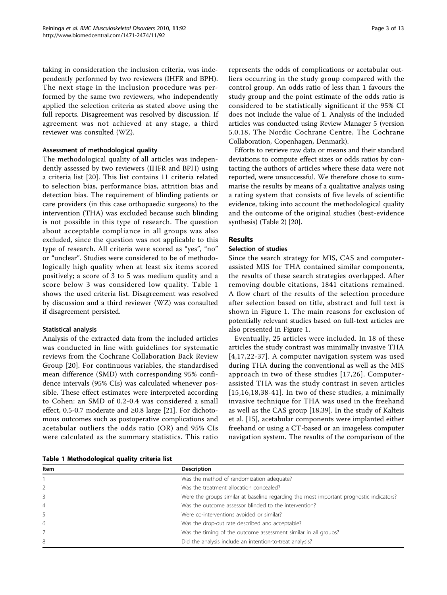taking in consideration the inclusion criteria, was independently performed by two reviewers (IHFR and BPH). The next stage in the inclusion procedure was performed by the same two reviewers, who independently applied the selection criteria as stated above using the full reports. Disagreement was resolved by discussion. If agreement was not achieved at any stage, a third reviewer was consulted (WZ).

## Assessment of methodological quality

The methodological quality of all articles was independently assessed by two reviewers (IHFR and BPH) using a criteria list [[20\]](#page-11-0). This list contains 11 criteria related to selection bias, performance bias, attrition bias and detection bias. The requirement of blinding patients or care providers (in this case orthopaedic surgeons) to the intervention (THA) was excluded because such blinding is not possible in this type of research. The question about acceptable compliance in all groups was also excluded, since the question was not applicable to this type of research. All criteria were scored as "yes", "no" or "unclear". Studies were considered to be of methodologically high quality when at least six items scored positively; a score of 3 to 5 was medium quality and a score below 3 was considered low quality. Table 1 shows the used criteria list. Disagreement was resolved by discussion and a third reviewer (WZ) was consulted if disagreement persisted.

## Statistical analysis

Analysis of the extracted data from the included articles was conducted in line with guidelines for systematic reviews from the Cochrane Collaboration Back Review Group [[20\]](#page-11-0). For continuous variables, the standardised mean difference (SMD) with corresponding 95% confidence intervals (95% CIs) was calculated whenever possible. These effect estimates were interpreted according to Cohen: an SMD of 0.2-0.4 was considered a small effect, 0.5-0.7 moderate and  $\geq$ 0.8 large [[21\]](#page-11-0). For dichotomous outcomes such as postoperative complications and acetabular outliers the odds ratio (OR) and 95% CIs were calculated as the summary statistics. This ratio represents the odds of complications or acetabular outliers occurring in the study group compared with the control group. An odds ratio of less than 1 favours the study group and the point estimate of the odds ratio is considered to be statistically significant if the 95% CI does not include the value of 1. Analysis of the included articles was conducted using Review Manager 5 (version 5.0.18, The Nordic Cochrane Centre, The Cochrane Collaboration, Copenhagen, Denmark).

Efforts to retrieve raw data or means and their standard deviations to compute effect sizes or odds ratios by contacting the authors of articles where these data were not reported, were unsuccessful. We therefore chose to summarise the results by means of a qualitative analysis using a rating system that consists of five levels of scientific evidence, taking into account the methodological quality and the outcome of the original studies (best-evidence synthesis) (Table [2\)](#page-3-0) [[20](#page-11-0)].

## Results

## Selection of studies

Since the search strategy for MIS, CAS and computerassisted MIS for THA contained similar components, the results of these search strategies overlapped. After removing double citations, 1841 citations remained. A flow chart of the results of the selection procedure after selection based on title, abstract and full text is shown in Figure [1.](#page-3-0) The main reasons for exclusion of potentially relevant studies based on full-text articles are also presented in Figure [1](#page-3-0).

Eventually, 25 articles were included. In 18 of these articles the study contrast was minimally invasive THA [[4](#page-11-0),[17](#page-11-0),[22](#page-11-0)-[37\]](#page-11-0). A computer navigation system was used during THA during the conventional as well as the MIS approach in two of these studies [[17](#page-11-0),[26\]](#page-11-0). Computerassisted THA was the study contrast in seven articles  $[15,16,18,38-41]$  $[15,16,18,38-41]$  $[15,16,18,38-41]$ . In two of these studies, a minimally invasive technique for THA was used in the freehand as well as the CAS group [[18,39\]](#page-11-0). In the study of Kalteis et al. [[15\]](#page-11-0), acetabular components were implanted either freehand or using a CT-based or an imageless computer navigation system. The results of the comparison of the

Table 1 Methodological quality criteria list

| Item           | <b>Description</b>                                                                      |
|----------------|-----------------------------------------------------------------------------------------|
|                | Was the method of randomization adequate?                                               |
|                | Was the treatment allocation concealed?                                                 |
|                | Were the groups similar at baseline regarding the most important prognostic indicators? |
| $\overline{4}$ | Was the outcome assessor blinded to the intervention?                                   |
|                | Were co-interventions avoided or similar?                                               |
| 6              | Was the drop-out rate described and acceptable?                                         |
|                | Was the timing of the outcome assessment similar in all groups?                         |
| 8              | Did the analysis include an intention-to-treat analysis?                                |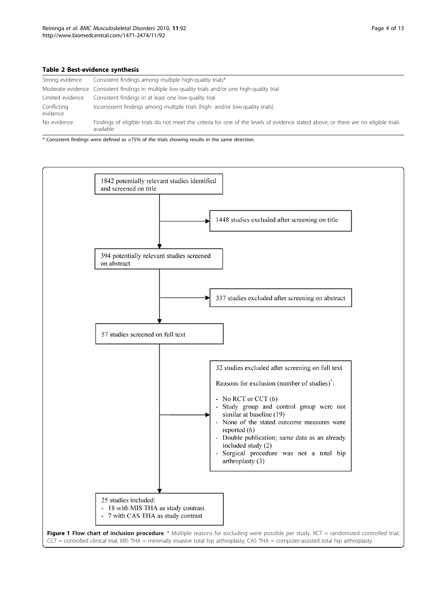## <span id="page-3-0"></span>Table 2 Best-evidence synthesis

| Strong evidence         | Consistent findings among multiple high-quality trials*                                                                                           |
|-------------------------|---------------------------------------------------------------------------------------------------------------------------------------------------|
|                         | Moderate evidence Consistent findings in multiple low-quality trials and/or one high-quality trial                                                |
| Limited evidence        | Consistent findings in at least one low-quality trial                                                                                             |
| Conflicting<br>evidence | Inconsistent findings among multiple trials (high- and/or low-quality trials)                                                                     |
| No evidence             | Findings of eligible trials do not meet the criteria for one of the levels of evidence stated above, or there are no eligible trials<br>available |

\* Consistent findings were defined as ≥75% of the trials showing results in the same direction.

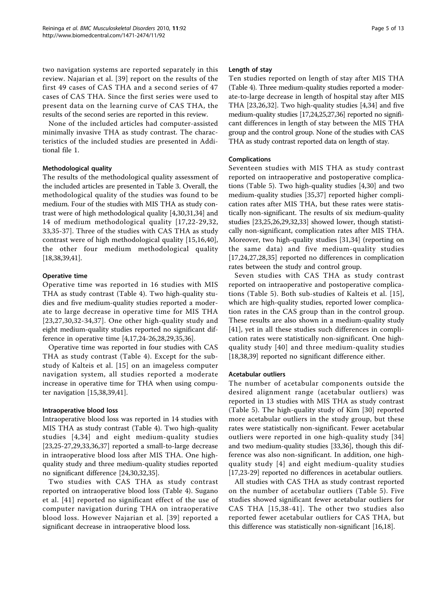two navigation systems are reported separately in this review. Najarian et al. [[39](#page-11-0)] report on the results of the first 49 cases of CAS THA and a second series of 47 cases of CAS THA. Since the first series were used to present data on the learning curve of CAS THA, the results of the second series are reported in this review.

None of the included articles had computer-assisted minimally invasive THA as study contrast. The characteristics of the included studies are presented in Additional file [1](#page-10-0).

## Methodological quality

The results of the methodological quality assessment of the included articles are presented in Table [3.](#page-5-0) Overall, the methodological quality of the studies was found to be medium. Four of the studies with MIS THA as study contrast were of high methodological quality [\[4,30,31,34\]](#page-11-0) and 14 of medium methodological quality [[17,22-29](#page-11-0),[32](#page-11-0), [33,35](#page-11-0)-[37\]](#page-11-0). Three of the studies with CAS THA as study contrast were of high methodological quality [[15,16,40](#page-11-0)], the other four medium methodological quality [[18,38,39,41](#page-11-0)].

## Operative time

Operative time was reported in 16 studies with MIS THA as study contrast (Table [4](#page-6-0)). Two high-quality studies and five medium-quality studies reported a moderate to large decrease in operative time for MIS THA [[23](#page-11-0),[27,30,32-34,37](#page-11-0)]. One other high-quality study and eight medium-quality studies reported no significant difference in operative time [[4](#page-11-0),[17](#page-11-0),[24](#page-11-0)-[26,28,29](#page-11-0),[35,36](#page-11-0)].

Operative time was reported in four studies with CAS THA as study contrast (Table [4\)](#page-6-0). Except for the substudy of Kalteis et al. [[15](#page-11-0)] on an imageless computer navigation system, all studies reported a moderate increase in operative time for THA when using computer navigation [[15,38,39,41\]](#page-11-0).

## Intraoperative blood loss

Intraoperative blood loss was reported in 14 studies with MIS THA as study contrast (Table [4](#page-6-0)). Two high-quality studies [[4](#page-11-0),[34\]](#page-11-0) and eight medium-quality studies [[23,25-27,29,33,36,37](#page-11-0)] reported a small-to-large decrease in intraoperative blood loss after MIS THA. One highquality study and three medium-quality studies reported no significant difference [[24](#page-11-0),[30,32,35](#page-11-0)].

Two studies with CAS THA as study contrast reported on intraoperative blood loss (Table [4](#page-6-0)). Sugano et al. [[41\]](#page-11-0) reported no significant effect of the use of computer navigation during THA on intraoperative blood loss. However Najarian et al. [[39](#page-11-0)] reported a significant decrease in intraoperative blood loss.

## Length of stay

Ten studies reported on length of stay after MIS THA (Table [4](#page-6-0)). Three medium-quality studies reported a moderate-to-large decrease in length of hospital stay after MIS THA [[23,26,32\]](#page-11-0). Two high-quality studies [[4,34\]](#page-11-0) and five medium-quality studies [\[17,24,25,27,36](#page-11-0)] reported no significant differences in length of stay between the MIS THA group and the control group. None of the studies with CAS THA as study contrast reported data on length of stay.

## Complications

Seventeen studies with MIS THA as study contrast reported on intraoperative and postoperative complications (Table [5\)](#page-7-0). Two high-quality studies [\[4](#page-11-0),[30](#page-11-0)] and two medium-quality studies [\[35](#page-11-0),[37](#page-11-0)] reported higher complication rates after MIS THA, but these rates were statistically non-significant. The results of six medium-quality studies [\[23,25,26,29,32,33](#page-11-0)] showed lower, though statistically non-significant, complication rates after MIS THA. Moreover, two high-quality studies [\[31,34](#page-11-0)] (reporting on the same data) and five medium-quality studies [[17,24,27,28,35](#page-11-0)] reported no differences in complication rates between the study and control group.

Seven studies with CAS THA as study contrast reported on intraoperative and postoperative complications (Table [5](#page-7-0)). Both sub-studies of Kalteis et al. [[15](#page-11-0)], which are high-quality studies, reported lower complication rates in the CAS group than in the control group. These results are also shown in a medium-quality study [[41\]](#page-11-0), yet in all these studies such differences in complication rates were statistically non-significant. One highquality study [[40](#page-11-0)] and three medium-quality studies [[18,38,39](#page-11-0)] reported no significant difference either.

## Acetabular outliers

The number of acetabular components outside the desired alignment range (acetabular outliers) was reported in 13 studies with MIS THA as study contrast (Table [5](#page-7-0)). The high-quality study of Kim [[30](#page-11-0)] reported more acetabular outliers in the study group, but these rates were statistically non-significant. Fewer acetabular outliers were reported in one high-quality study [[34](#page-11-0)] and two medium-quality studies [[33,36\]](#page-11-0), though this difference was also non-significant. In addition, one highquality study [[4](#page-11-0)] and eight medium-quality studies [[17,23-29\]](#page-11-0) reported no differences in acetabular outliers.

All studies with CAS THA as study contrast reported on the number of acetabular outliers (Table [5](#page-7-0)). Five studies showed significant fewer acetabular outliers for CAS THA [[15,38](#page-11-0)-[41\]](#page-11-0). The other two studies also reported fewer acetabular outliers for CAS THA, but this difference was statistically non-significant [\[16,18](#page-11-0)].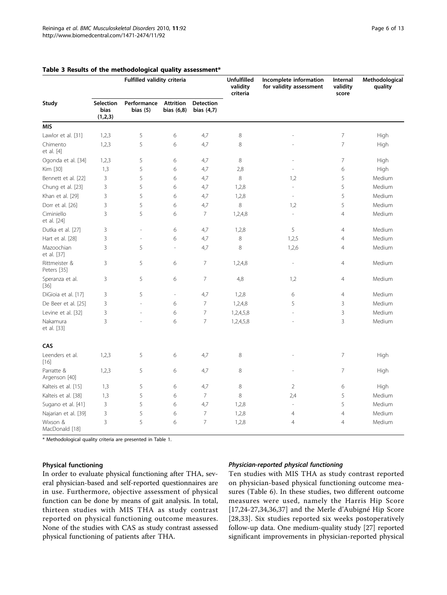|                              | Fulfilled validity criteria         |                           |                                  | <b>Unfulfilled</b><br>validity<br>criteria | Incomplete information<br>for validity assessment | Internal<br>validity<br>score | Methodological<br>quality |        |
|------------------------------|-------------------------------------|---------------------------|----------------------------------|--------------------------------------------|---------------------------------------------------|-------------------------------|---------------------------|--------|
| Study                        | <b>Selection</b><br>bias<br>(1,2,3) | Performance<br>bias $(5)$ | <b>Attrition</b><br>bias $(6,8)$ | <b>Detection</b><br>bias $(4,7)$           |                                                   |                               |                           |        |
| <b>MIS</b>                   |                                     |                           |                                  |                                            |                                                   |                               |                           |        |
| Lawlor et al. [31]           | 1,2,3                               | 5                         | 6                                | 4,7                                        | 8                                                 |                               | $\overline{7}$            | High   |
| Chimento<br>et al. [4]       | 1,2,3                               | 5                         | 6                                | 4,7                                        | 8                                                 |                               | 7                         | High   |
| Ogonda et al. [34]           | 1,2,3                               | 5                         | 6                                | 4,7                                        | 8                                                 |                               | $\overline{\phantom{a}}$  | High   |
| Kim [30]                     | 1,3                                 | 5                         | 6                                | 4,7                                        | 2,8                                               |                               | 6                         | High   |
| Bennett et al. [22]          | 3                                   | 5                         | 6                                | 4,7                                        | 8                                                 | 1,2                           | 5                         | Medium |
| Chung et al. [23]            | 3                                   | 5                         | 6                                | 4,7                                        | 1,2,8                                             | L,                            | 5                         | Medium |
| Khan et al. [29]             | 3                                   | 5                         | 6                                | 4,7                                        | 1,2,8                                             | $\overline{a}$                | 5                         | Medium |
| Dorr et al. [26]             | 3                                   | 5                         | 6                                | 4,7                                        | 8                                                 | 1,2                           | 5                         | Medium |
| Ciminiello<br>et al. [24]    | 3                                   | 5                         | 6                                | $\overline{7}$                             | 1,2,4,8                                           |                               | $\overline{4}$            | Medium |
| Dutka et al. [27]            | 3                                   | $\overline{a}$            | 6                                | 4,7                                        | 1,2,8                                             | 5                             | $\overline{4}$            | Medium |
| Hart et al. [28]             | 3                                   |                           | 6                                | 4,7                                        | 8                                                 | 1,2,5                         | $\overline{4}$            | Medium |
| Mazoochian<br>et al. [37]    | 3                                   | 5                         | Ĭ.                               | 4,7                                        | 8                                                 | 1,2,6                         | $\overline{4}$            | Medium |
| Rittmeister &<br>Peters [35] | 3                                   | 5                         | 6                                | $\overline{7}$                             | 1,2,4,8                                           | $\overline{\phantom{a}}$      | $\overline{4}$            | Medium |
| Speranza et al.<br>$[36]$    | 3                                   | 5                         | 6                                | $\overline{7}$                             | 4,8                                               | 1,2                           | $\overline{4}$            | Medium |
| DiGioia et al. [17]          | 3                                   | 5                         | $\overline{a}$                   | 4,7                                        | 1,2,8                                             | 6                             | $\overline{4}$            | Medium |
| De Beer et al. [25]          | 3                                   |                           | 6                                | $\overline{7}$                             | 1,2,4,8                                           | 5                             | 3                         | Medium |
| Levine et al. [32]           | 3                                   |                           | 6                                | $\overline{7}$                             | 1,2,4,5,8                                         |                               | 3                         | Medium |
| Nakamura<br>et al. [33]      | 3                                   |                           | 6                                | $\overline{7}$                             | 1,2,4,5,8                                         |                               | 3                         | Medium |
| CAS                          |                                     |                           |                                  |                                            |                                                   |                               |                           |        |
| Leenders et al.<br>$[16]$    | 1,2,3                               | 5                         | 6                                | 4,7                                        | 8                                                 |                               | $\overline{7}$            | High   |
| Parratte &<br>Argenson [40]  | 1,2,3                               | 5                         | 6                                | 4,7                                        | 8                                                 |                               | 7                         | High   |
| Kalteis et al. [15]          | 1,3                                 | 5                         | 6                                | 4,7                                        | 8                                                 | $\overline{2}$                | 6                         | High   |
| Kalteis et al. [38]          | 1,3                                 | 5                         | 6                                | 7                                          | 8                                                 | 2,4                           | 5                         | Medium |
| Sugano et al. [41]           | 3                                   | 5                         | 6                                | 4,7                                        | 1,2,8                                             |                               | 5                         | Medium |
| Najarian et al. [39]         | 3                                   | 5                         | 6                                | $\overline{7}$                             | 1,2,8                                             | $\overline{4}$                | $\overline{4}$            | Medium |
| Wixson &<br>MacDonald [18]   | 3                                   | 5                         | 6                                | $\overline{7}$                             | 1,2,8                                             | 4                             | $\overline{4}$            | Medium |

## <span id="page-5-0"></span>Table 3 Results of the methodological quality assessment\*

\* Methodological quality criteria are presented in Table 1.

## Physical functioning

In order to evaluate physical functioning after THA, several physician-based and self-reported questionnaires are in use. Furthermore, objective assessment of physical function can be done by means of gait analysis. In total, thirteen studies with MIS THA as study contrast reported on physical functioning outcome measures. None of the studies with CAS as study contrast assessed physical functioning of patients after THA.

## Physician-reported physical functioning

Ten studies with MIS THA as study contrast reported on physician-based physical functioning outcome measures (Table [6\)](#page-8-0). In these studies, two different outcome measures were used, namely the Harris Hip Score [[17,24](#page-11-0)-[27,34,36](#page-11-0),[37\]](#page-11-0) and the Merle d'Aubigné Hip Score [[28](#page-11-0),[33\]](#page-11-0). Six studies reported six weeks postoperatively follow-up data. One medium-quality study [\[27](#page-11-0)] reported significant improvements in physician-reported physical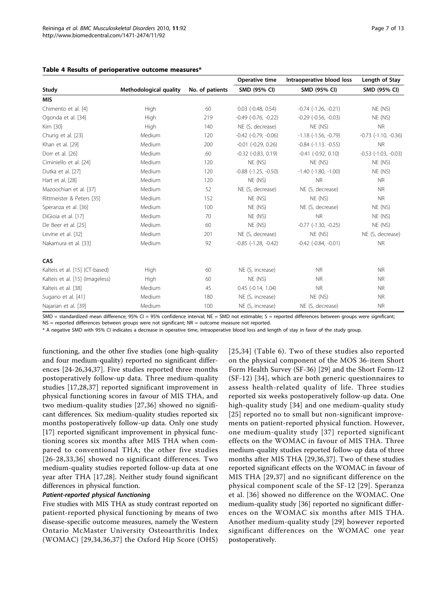|                                 |                        |                 | Operative time              | Intraoperative blood loss | Length of Stay           |
|---------------------------------|------------------------|-----------------|-----------------------------|---------------------------|--------------------------|
| Study                           | Methodological quality | No. of patients | SMD (95% CI)                | SMD (95% CI)              | SMD (95% CI)             |
| <b>MIS</b>                      |                        |                 |                             |                           |                          |
| Chimento et al. [4]             | High                   | 60              | $0.03$ ( $-0.48$ , $0.54$ ) | $-0.74$ $(-1.26, -0.21)$  | NE (NS)                  |
| Ogonda et al. [34]              | High                   | 219             | $-0.49$ $(-0.76, -0.22)$    | $-0.29$ $(-0.56, -0.03)$  | NE (NS)                  |
| Kim [30]                        | <b>High</b>            | 140             | NE (S. decrease)            | NE (NS)                   | <b>NR</b>                |
| Chung et al. [23]               | Medium                 | 120             | $-0.42$ $(-0.79, -0.06)$    | $-1.18$ $(-1.56, -0.79)$  | $-0.73$ $(-1.10, -0.36)$ |
| Khan et al. [29]                | Medium                 | 200             | $-0.01$ $(-0.29, 0.26)$     | $-0.84$ $(-1.13, -0.55)$  | <b>NR</b>                |
| Dorr et al. [26]                | Medium                 | 60              | $-0.32$ $(-0.83, 0.19)$     | $-0.41$ $(-0.92, 0.10)$   | $-0.53$ $(-1.03, -0.03)$ |
| Ciminiello et al. [24]          | Medium                 | 120             | NE (NS)                     | NE (NS)                   | NE (NS)                  |
| Dutka et al. [27]               | Medium                 | 120             | $-0.88$ $(-1.25, -0.50)$    | $-1.40$ $(-1.80, -1.00)$  | NE (NS)                  |
| Hart et al. [28]                | Medium                 | 120             | NE (NS)                     | <b>NR</b>                 | <b>NR</b>                |
| Mazoochian et al. [37]          | Medium                 | 52              | NE (S, decrease)            | NE (S, decrease)          | <b>NR</b>                |
| Rittmeister & Peters [35]       | Medium                 | 152             | NE (NS)                     | NE (NS)                   | <b>NR</b>                |
| Speranza et al. [36]            | Medium                 | 100             | NE (NS)                     | NE (S, decrease)          | NE (NS)                  |
| DiGioia et al. [17]             | Medium                 | 70              | NE (NS)                     | <b>NR</b>                 | NE (NS)                  |
| De Beer et al. [25]             | Medium                 | 60              | NE (NS)                     | $-0.77$ $(-1.30, -0.25)$  | NE (NS)                  |
| Levine et al. [32]              | Medium                 | 201             | NE (S, decrease)            | NE (NS)                   | NE (S, decrease)         |
| Nakamura et al. [33]            | Medium                 | 92              | $-0.85$ $(-1.28, -0.42)$    | $-0.42$ $(-0.84, -0.01)$  | <b>NR</b>                |
| CAS                             |                        |                 |                             |                           |                          |
| Kalteis et al. [15] (CT-based)  | High                   | 60              | NE (S, increase)            | <b>NR</b>                 | <b>NR</b>                |
| Kalteis et al. [15] (Imageless) | <b>High</b>            | 60              | NE (NS)                     | <b>NR</b>                 | <b>NR</b>                |
| Kalteis et al. [38]             | Medium                 | 45              | $0.45$ ( $-0.14$ , $1.04$ ) | <b>NR</b>                 | <b>NR</b>                |
| Sugano et al. [41]              | Medium                 | 180             | NE (S, increase)            | NE (NS)                   | <b>NR</b>                |
| Najarian et al. [39]            | Medium                 | 100             | NE (S, increase)            | NE (S, decrease)          | <b>NR</b>                |

#### <span id="page-6-0"></span>Table 4 Results of perioperative outcome measures\*

SMD = standardized mean difference; 95% CI = 95% confidence interval; NE = SMD not estimable; S = reported differences between groups were significant;

NS = reported differences between groups were not significant; NR = outcome measure not reported.

\* A negative SMD with 95% CI indicates a decrease in operative time, intraoperative blood loss and length of stay in favor of the study group.

functioning, and the other five studies (one high-quality and four medium-quality) reported no significant differences [\[24](#page-11-0)-[26,34,37](#page-11-0)]. Five studies reported three months postoperatively follow-up data. Three medium-quality studies [[17](#page-11-0),[28,37](#page-11-0)] reported significant improvement in physical functioning scores in favour of MIS THA, and two medium-quality studies [[27,36](#page-11-0)] showed no significant differences. Six medium-quality studies reported six months postoperatively follow-up data. Only one study [[17\]](#page-11-0) reported significant improvement in physical functioning scores six months after MIS THA when compared to conventional THA; the other five studies [[26-28,33,36\]](#page-11-0) showed no significant differences. Two medium-quality studies reported follow-up data at one year after THA [[17,28](#page-11-0)]. Neither study found significant differences in physical function.

## Patient-reported physical functioning

Five studies with MIS THA as study contrast reported on patient-reported physical functioning by means of two disease-specific outcome measures, namely the Western Ontario McMaster University Osteoarthritis Index (WOMAC) [\[29,34,36](#page-11-0),[37\]](#page-11-0) the Oxford Hip Score (OHS) [[25,34](#page-11-0)] (Table [6\)](#page-8-0). Two of these studies also reported on the physical component of the MOS 36-item Short Form Health Survey (SF-36) [\[29](#page-11-0)] and the Short Form-12 (SF-12) [[34](#page-11-0)], which are both generic questionnaires to assess health-related quality of life. Three studies reported six weeks postoperatively follow-up data. One high-quality study [[34\]](#page-11-0) and one medium-quality study [[25](#page-11-0)] reported no to small but non-significant improvements on patient-reported physical function. However, one medium-quality study [[37](#page-11-0)] reported significant effects on the WOMAC in favour of MIS THA. Three medium-quality studies reported follow-up data of three months after MIS THA [\[29](#page-11-0),[36,37](#page-11-0)]. Two of these studies reported significant effects on the WOMAC in favour of MIS THA [[29,37\]](#page-11-0) and no significant difference on the physical component scale of the SF-12 [[29\]](#page-11-0). Speranza et al. [[36](#page-11-0)] showed no difference on the WOMAC. One medium-quality study [[36\]](#page-11-0) reported no significant differences on the WOMAC six months after MIS THA. Another medium-quality study [[29](#page-11-0)] however reported significant differences on the WOMAC one year postoperatively.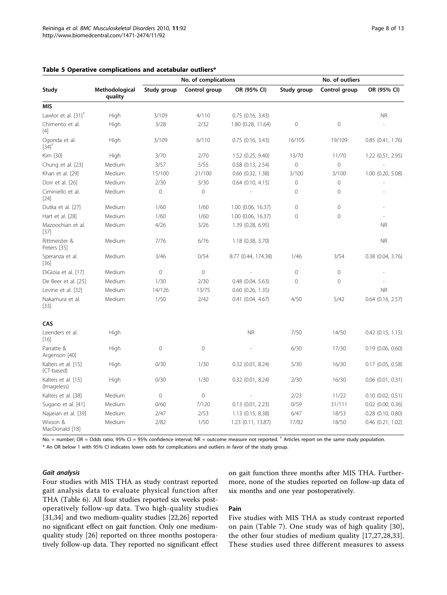|                                                 |                           |                | No. of complications |                       | No. of outliers |                |                       |  |
|-------------------------------------------------|---------------------------|----------------|----------------------|-----------------------|-----------------|----------------|-----------------------|--|
| Study                                           | Methodological<br>quality | Study group    | Control group        | OR (95% CI)           | Study group     | Control group  | OR (95% CI)           |  |
| <b>MIS</b>                                      |                           |                |                      |                       |                 |                |                       |  |
| Lawlor et al. $[31]$ <sup>†</sup>               | High                      | 3/109          | 4/110                | $0.75$ $(0.16, 3.43)$ |                 |                | <b>NR</b>             |  |
| Chimento et al.<br>$[4]$                        | High                      | 3/28           | 2/32                 | 1.80 (0.28, 11.64)    | $\mathbf 0$     | 0              |                       |  |
| Ogonda et al.<br>$\left[34\right]$ <sup>†</sup> | High                      | 3/109          | 6/110                | $0.75$ $(0.16, 3.43)$ | 16/105          | 19/109         | $0.85$ $(0.41, 1.76)$ |  |
| Kim [30]                                        | High                      | 3/70           | 2/70                 | 1.52 (0.25, 9.40)     | 13/70           | 11/70          | 1.22 (0.51, 2.95)     |  |
| Chung et al. [23]                               | Medium                    | 3/57           | 5/55                 | $0.58$ $(0.13, 2.54)$ | 0               | $\overline{0}$ |                       |  |
| Khan et al. [29]                                | Medium                    | 15/100         | 21/100               | $0.66$ $(0.32, 1.38)$ | 3/100           | 3/100          | 1.00 (0.20, 5.08)     |  |
| Dorr et al. [26]                                | Medium                    | 2/30           | 3/30                 | $0.64$ $(0.10, 4.15)$ | $\mathbf 0$     | 0              |                       |  |
| Ciminiello et al.<br>$[24]$                     | Medium                    | $\overline{0}$ | $\overline{0}$       | L,                    | $\Omega$        | $\overline{O}$ |                       |  |
| Dutka et al. [27]                               | Medium                    | 1/60           | 1/60                 | 1.00 (0.06, 16.37)    | $\mathbf{0}$    | $\circ$        |                       |  |
| Hart et al. [28]                                | Medium                    | 1/60           | 1/60                 | 1.00 (0.06, 16.37)    | $\overline{0}$  | $\Omega$       |                       |  |
| Mazoochian et al.<br>$[37]$                     | Medium                    | 4/26           | 3/26                 | 1.39 (0.28, 6.95)     |                 |                | <b>NR</b>             |  |
| Rittmeister &<br>Peters [35]                    | Medium                    | 7/76           | 6/76                 | 1.18 (0.38, 3.70)     |                 |                | <b>NR</b>             |  |
| Speranza et al.<br>$[36]$                       | Medium                    | 3/46           | 0/54                 | 8.77 (0.44, 174.38)   | 1/46            | 3/54           | $0.38$ $(0.04, 3.76)$ |  |
| DiGioia et al. [17]                             | Medium                    | $\overline{0}$ | $\overline{0}$       |                       | $\mathbf{0}$    | $\overline{0}$ |                       |  |
| De Beer et al. [25]                             | Medium                    | 1/30           | 2/30                 | 0.48 (0.04, 5.63)     | 0               | $\overline{0}$ |                       |  |
| Levine et al. [32]                              | Medium                    | 14/126         | 13/75                | $0.60$ $(0.26, 1.35)$ |                 |                | <b>NR</b>             |  |
| Nakamura et al.<br>$[33]$                       | Medium                    | 1/50           | 2/42                 | $0.41$ (0.04, 4.67)   | 4/50            | 5/42           | $0.64$ $(0.16, 2.57)$ |  |
| CAS                                             |                           |                |                      |                       |                 |                |                       |  |
| Leenders et al.<br>[16]                         | High                      |                |                      | <b>NR</b>             | 7/50            | 14/50          | $0.42$ $(0.15, 1.15)$ |  |
| Parratte &<br>Argenson [40]                     | High                      | $\mathbf 0$    | $\mathbf 0$          |                       | 6/30            | 17/30          | $0.19$ $(0.06, 0.60)$ |  |
| Kalteis et al. [15]<br>(CT-based)               | High                      | 0/30           | 1/30                 | $0.32$ $(0.01, 8.24)$ | 5/30            | 16/30          | $0.17$ (0.05, 0.58)   |  |
| Kalteis et al. [15]<br>(Imageless)              | High                      | 0/30           | 1/30                 | $0.32$ $(0.01, 8.24)$ | 2/30            | 16/30          | $0.06$ $(0.01, 0.31)$ |  |
| Kalteis et al. [38]                             | Medium                    | $\mathbf 0$    | $\mathbf{0}$         |                       | 2/23            | 11/22          | $0.10$ $(0.02, 0.51)$ |  |
| Sugano et al. [41]                              | Medium                    | 0/60           | 7/120                | $0.13$ $(0.01, 2.23)$ | 0/59            | 31/111         | $0.02$ $(0.00, 0.36)$ |  |
| Najarian et al. [39]                            | Medium                    | 2/47           | 2/53                 | 1.13 (0.15, 8.38)     | 6/47            | 18/53          | $0.28$ $(0.10, 0.80)$ |  |
| Wixson &<br>MacDonald [18]                      | Medium                    | 2/82           | 1/50                 | 1.23 (0.11, 13.87)    | 17/82           | 18/50          | $0.46$ $(0.21, 1.02)$ |  |

## <span id="page-7-0"></span>Table 5 Operative complications and acetabular outliers\*

No. = number; OR = Odds ratio; 95% CI = 95% confidence interval; NR = outcome measure not reported. <sup>†</sup> Articles report on the same study population. \* An OR below 1 with 95% CI indicates lower odds for complications and outliers in favor of the study group.

## Gait analysis

Four studies with MIS THA as study contrast reported gait analysis data to evaluate physical function after THA (Table [6](#page-8-0)). All four studies reported six weeks postoperatively follow-up data. Two high-quality studies [[31,34\]](#page-11-0) and two medium-quality studies [[22](#page-11-0),[26](#page-11-0)] reported no significant effect on gait function. Only one mediumquality study [\[26](#page-11-0)] reported on three months postoperatively follow-up data. They reported no significant effect on gait function three months after MIS THA. Furthermore, none of the studies reported on follow-up data of six months and one year postoperatively.

## Pain

Five studies with MIS THA as study contrast reported on pain (Table [7\)](#page-9-0). One study was of high quality [[30](#page-11-0)], the other four studies of medium quality [[17,27](#page-11-0),[28,33](#page-11-0)]. These studies used three different measures to assess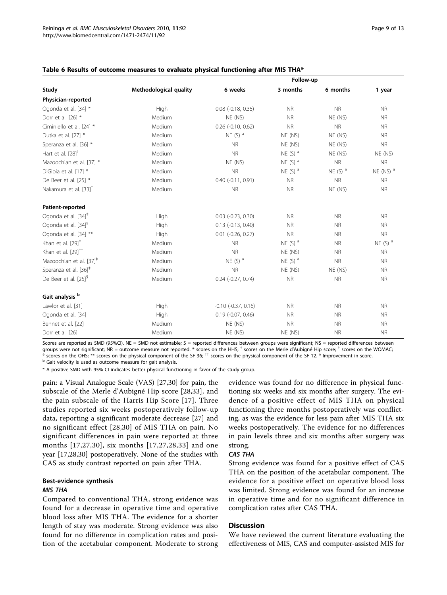|                                     |                        | Follow-up               |                       |                       |                        |  |  |
|-------------------------------------|------------------------|-------------------------|-----------------------|-----------------------|------------------------|--|--|
| Study                               | Methodological quality | 6 weeks                 | 3 months              | 6 months              | 1 year                 |  |  |
| Physician-reported                  |                        |                         |                       |                       |                        |  |  |
| Ogonda et al. [34] *                | High                   | $0.08$ (-0.18, 0.35)    | <b>NR</b>             | <b>NR</b>             | <b>NR</b>              |  |  |
| Dorr et al. [26] *                  | Medium                 | NE (NS)                 | <b>NR</b>             | NE (NS)               | <b>NR</b>              |  |  |
| Ciminiello et al. [24] *            | Medium                 | $0.26$ (-0.10, 0.62)    | <b>NR</b>             | <b>NR</b>             | <b>NR</b>              |  |  |
| Dutka et al. [27] *                 | Medium                 | NE $(S)$ <sup>a</sup>   | NE (NS)               | NE (NS)               | <b>NR</b>              |  |  |
| Speranza et al. [36] *              | Medium                 | <b>NR</b>               | NE (NS)               | NE (NS)               | <b>NR</b>              |  |  |
| Hart et al. $[28]$ <sup>†</sup>     | Medium                 | <b>NR</b>               | NE $(S)$ <sup>a</sup> | NE (NS)               | NE (NS)                |  |  |
| Mazoochian et al. [37] *            | Medium                 | NE (NS)                 | NE $(S)$ <sup>a</sup> | <b>NR</b>             | <b>NR</b>              |  |  |
| DiGioia et al. [17] *               | Medium                 | <b>NR</b>               | NE $(S)$ <sup>a</sup> | NE $(S)$ <sup>a</sup> | $NE$ (NS) <sup>a</sup> |  |  |
| De Beer et al. [25] *               | Medium                 | $0.40$ $(-0.11, 0.91)$  | <b>NR</b>             | <b>NR</b>             | <b>NR</b>              |  |  |
| Nakamura et al. [33] <sup>†</sup>   | Medium                 | <b>NR</b>               | <b>NR</b>             | NE (NS)               | <b>NR</b>              |  |  |
| Patient-reported                    |                        |                         |                       |                       |                        |  |  |
| Ogonda et al. [34] <sup>‡</sup>     | High                   | $0.03$ $(-0.23, 0.30)$  | <b>NR</b>             | <b>NR</b>             | <b>NR</b>              |  |  |
| Ogonda et al. [34] <sup>§</sup>     | High                   | $0.13$ (-0.13, 0.40)    | <b>NR</b>             | <b>NR</b>             | <b>NR</b>              |  |  |
| Ogonda et al. [34] **               | High                   | $0.01$ (-0.26, 0.27)    | <b>NR</b>             | <b>NR</b>             | <b>NR</b>              |  |  |
| Khan et al. $[29]$ <sup>#</sup>     | Medium                 | <b>NR</b>               | NE $(S)$ <sup>a</sup> | <b>NR</b>             | NE $(S)$ <sup>a</sup>  |  |  |
| Khan et al. $[29]^{++}$             | Medium                 | <b>NR</b>               | NE (NS)               | <b>NR</b>             | <b>NR</b>              |  |  |
| Mazoochian et al. [37] <sup>‡</sup> | Medium                 | NE $(S)$ <sup>a</sup>   | NE $(S)$ <sup>a</sup> | <b>NR</b>             | <b>NR</b>              |  |  |
| Speranza et al. [36] <sup>#</sup>   | Medium                 | <b>NR</b>               | NE (NS)               | NE (NS)               | <b>NR</b>              |  |  |
| De Beer et al. [25] <sup>§</sup>    | Medium                 | $0.24$ $(-0.27, 0.74)$  | <b>NR</b>             | <b>NR</b>             | <b>NR</b>              |  |  |
| Gait analysis <sup>b</sup>          |                        |                         |                       |                       |                        |  |  |
| Lawlor et al. [31]                  | High                   | $-0.10$ $(-0.37, 0.16)$ | <b>NR</b>             | <b>NR</b>             | <b>NR</b>              |  |  |
| Ogonda et al. [34]                  | High                   | $0.19$ (-0.07, 0.46)    | <b>NR</b>             | <b>NR</b>             | <b>NR</b>              |  |  |
| Bennet et al. [22]                  | Medium                 | NE (NS)                 | <b>NR</b>             | <b>NR</b>             | <b>NR</b>              |  |  |
| Dorr et al. [26]                    | Medium                 | NE (NS)                 | NE (NS)               | <b>NR</b>             | <b>NR</b>              |  |  |

#### <span id="page-8-0"></span>Table 6 Results of outcome measures to evaluate physical functioning after MIS THA\*

Scores are reported as SMD (95%CI). NE = SMD not estimable; S = reported differences between groups were significant; NS = reported differences between groups were not significant; NR = outcome measure not reported. \* sco  $\frac{5}{9}$  scores on the OHS; \*\* scores on the physical component of the SF-36; <sup>††</sup> scores on the physical component of the SF-12. <sup>a</sup> Improvement in score.<br><sup>b</sup> Gait velocity is used as outcome measure for gait analysis.

\* A positive SMD with 95% CI indicates better physical functioning in favor of the study group.

pain: a Visual Analogue Scale (VAS) [\[27,30\]](#page-11-0) for pain, the subscale of the Merle d'Aubigné Hip score [[28,33](#page-11-0)], and the pain subscale of the Harris Hip Score [[17\]](#page-11-0). Three studies reported six weeks postoperatively follow-up data, reporting a significant moderate decrease [[27\]](#page-11-0) and no significant effect [[28](#page-11-0),[30\]](#page-11-0) of MIS THA on pain. No significant differences in pain were reported at three months [[17](#page-11-0),[27](#page-11-0),[30](#page-11-0)], six months [[17](#page-11-0),[27](#page-11-0),[28](#page-11-0),[33](#page-11-0)] and one year [\[17,28,30\]](#page-11-0) postoperatively. None of the studies with CAS as study contrast reported on pain after THA.

### Best-evidence synthesis MIS THA

Compared to conventional THA, strong evidence was found for a decrease in operative time and operative blood loss after MIS THA. The evidence for a shorter length of stay was moderate. Strong evidence was also found for no difference in complication rates and position of the acetabular component. Moderate to strong

evidence was found for no difference in physical functioning six weeks and six months after surgery. The evidence of a positive effect of MIS THA on physical functioning three months postoperatively was conflicting, as was the evidence for less pain after MIS THA six weeks postoperatively. The evidence for no differences in pain levels three and six months after surgery was strong.

## CAS THA

Strong evidence was found for a positive effect of CAS THA on the position of the acetabular component. The evidence for a positive effect on operative blood loss was limited. Strong evidence was found for an increase in operative time and for no significant difference in complication rates after CAS THA.

## **Discussion**

We have reviewed the current literature evaluating the effectiveness of MIS, CAS and computer-assisted MIS for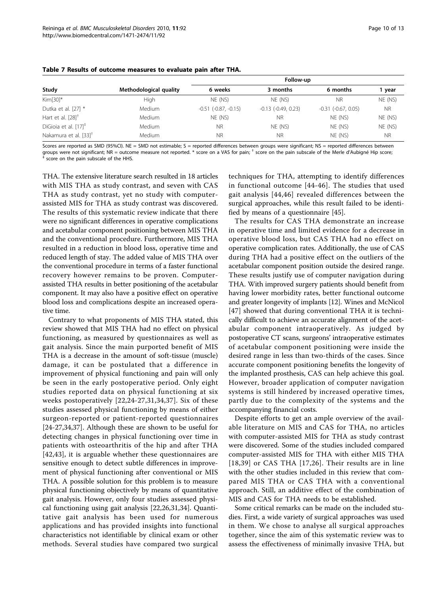|                                    |                        | Follow-up                |                         |                         |           |  |  |
|------------------------------------|------------------------|--------------------------|-------------------------|-------------------------|-----------|--|--|
| Study                              | Methodological quality | 6 weeks                  | 3 months                | 6 months                | year      |  |  |
| $Kim[30]*$                         | High                   | NE (NS)                  | NE (NS)                 | ΝR                      | NE (NS)   |  |  |
| Dutka et al. [27] *                | Medium                 | $-0.51$ $(-0.87, -0.15)$ | $-0.13$ $(-0.49, 0.23)$ | $-0.31$ $(-0.67, 0.05)$ | <b>NR</b> |  |  |
| Hart et al. $[28]^\dagger$         | Medium                 | NE (NS)                  | ΝR                      | NE (NS)                 | NE (NS)   |  |  |
| DiGioia et al. $[17]$ <sup>#</sup> | <b>Medium</b>          | <b>NR</b>                | NE (NS)                 | NE (NS)                 | NE (NS)   |  |  |
| Nakamura et al. [33] <sup>†</sup>  | <b>Medium</b>          | <b>NR</b>                | <b>NR</b>               | NE (NS)                 | <b>NR</b> |  |  |

<span id="page-9-0"></span>Table 7 Results of outcome measures to evaluate pain after THA.

Scores are reported as SMD (95%CI). NE = SMD not estimable; S = reported differences between groups were significant; NS = reported differences between groups were not significant; NR = outcome measure not reported. \* score on a VAS for pain; <sup>†</sup> score on the pain subscale of the Merle d'Aubigné Hip score; <sup>‡</sup> score on the pain subscale of the Merle d'Aubigné Hip score;

THA. The extensive literature search resulted in 18 articles with MIS THA as study contrast, and seven with CAS THA as study contrast, yet no study with computerassisted MIS for THA as study contrast was discovered. The results of this systematic review indicate that there were no significant differences in operative complications and acetabular component positioning between MIS THA and the conventional procedure. Furthermore, MIS THA resulted in a reduction in blood loss, operative time and reduced length of stay. The added value of MIS THA over the conventional procedure in terms of a faster functional recovery however remains to be proven. Computerassisted THA results in better positioning of the acetabular component. It may also have a positive effect on operative blood loss and complications despite an increased operative time.

Contrary to what proponents of MIS THA stated, this review showed that MIS THA had no effect on physical functioning, as measured by questionnaires as well as gait analysis. Since the main purported benefit of MIS THA is a decrease in the amount of soft-tissue (muscle) damage, it can be postulated that a difference in improvement of physical functioning and pain will only be seen in the early postoperative period. Only eight studies reported data on physical functioning at six weeks postoperatively [[22,24-27,31,34,37](#page-11-0)]. Six of these studies assessed physical functioning by means of either surgeon-reported or patient-reported questionnaires [[24-27,34,37\]](#page-11-0). Although these are shown to be useful for detecting changes in physical functioning over time in patients with osteoarthritis of the hip and after THA [[42,43](#page-12-0)], it is arguable whether these questionnaires are sensitive enough to detect subtle differences in improvement of physical functioning after conventional or MIS THA. A possible solution for this problem is to measure physical functioning objectively by means of quantitative gait analysis. However, only four studies assessed physical functioning using gait analysis [[22](#page-11-0),[26,31,34\]](#page-11-0). Quantitative gait analysis has been used for numerous applications and has provided insights into functional characteristics not identifiable by clinical exam or other methods. Several studies have compared two surgical

techniques for THA, attempting to identify differences in functional outcome [\[44-46](#page-12-0)]. The studies that used gait analysis [[44](#page-12-0),[46](#page-12-0)] revealed differences between the surgical approaches, while this result failed to be identified by means of a questionnaire [\[45](#page-12-0)].

The results for CAS THA demonstrate an increase in operative time and limited evidence for a decrease in operative blood loss, but CAS THA had no effect on operative complication rates. Additionally, the use of CAS during THA had a positive effect on the outliers of the acetabular component position outside the desired range. These results justify use of computer navigation during THA. With improved surgery patients should benefit from having lower morbidity rates, better functional outcome and greater longevity of implants [\[12\]](#page-11-0). Wines and McNicol [[47](#page-12-0)] showed that during conventional THA it is technically difficult to achieve an accurate alignment of the acetabular component intraoperatively. As judged by postoperative CT scans, surgeons' intraoperative estimates of acetabular component positioning were inside the desired range in less than two-thirds of the cases. Since accurate component positioning benefits the longevity of the implanted prosthesis, CAS can help achieve this goal. However, broader application of computer navigation systems is still hindered by increased operative times, partly due to the complexity of the systems and the accompanying financial costs.

Despite efforts to get an ample overview of the available literature on MIS and CAS for THA, no articles with computer-assisted MIS for THA as study contrast were discovered. Some of the studies included compared computer-assisted MIS for THA with either MIS THA [[18](#page-11-0),[39](#page-11-0)] or CAS THA [[17,26\]](#page-11-0). Their results are in line with the other studies included in this review that compared MIS THA or CAS THA with a conventional approach. Still, an additive effect of the combination of MIS and CAS for THA needs to be established.

Some critical remarks can be made on the included studies. First, a wide variety of surgical approaches was used in them. We chose to analyse all surgical approaches together, since the aim of this systematic review was to assess the effectiveness of minimally invasive THA, but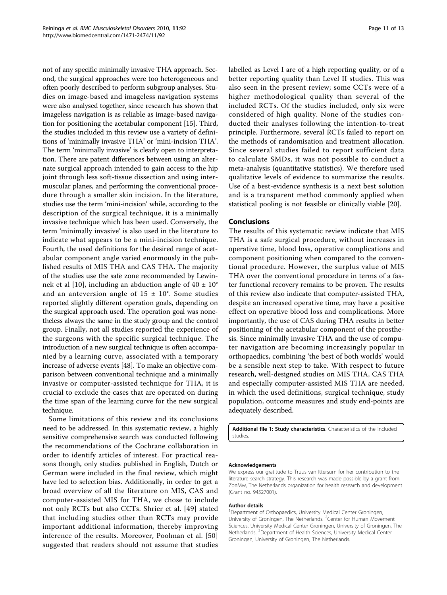<span id="page-10-0"></span>not of any specific minimally invasive THA approach. Second, the surgical approaches were too heterogeneous and often poorly described to perform subgroup analyses. Studies on image-based and imageless navigation systems were also analysed together, since research has shown that imageless navigation is as reliable as image-based navigation for positioning the acetabular component [[15\]](#page-11-0). Third, the studies included in this review use a variety of definitions of 'minimally invasive THA' or 'mini-incision THA'. The term 'minimally invasive' is clearly open to interpretation. There are patent differences between using an alternate surgical approach intended to gain access to the hip joint through less soft-tissue dissection and using intermuscular planes, and performing the conventional procedure through a smaller skin incision. In the literature, studies use the term 'mini-incision' while, according to the description of the surgical technique, it is a minimally invasive technique which has been used. Conversely, the term 'minimally invasive' is also used in the literature to indicate what appears to be a mini-incision technique. Fourth, the used definitions for the desired range of acetabular component angle varied enormously in the published results of MIS THA and CAS THA. The majority of the studies use the safe zone recommended by Lewin-nek et al [\[10\]](#page-11-0), including an abduction angle of  $40 \pm 10^{\circ}$ and an anteversion angle of  $15 \pm 10^{\circ}$ . Some studies reported slightly different operation goals, depending on the surgical approach used. The operation goal was nonetheless always the same in the study group and the control group. Finally, not all studies reported the experience of the surgeons with the specific surgical technique. The introduction of a new surgical technique is often accompanied by a learning curve, associated with a temporary increase of adverse events [[48](#page-12-0)]. To make an objective comparison between conventional technique and a minimally invasive or computer-assisted technique for THA, it is crucial to exclude the cases that are operated on during the time span of the learning curve for the new surgical technique.

Some limitations of this review and its conclusions need to be addressed. In this systematic review, a highly sensitive comprehensive search was conducted following the recommendations of the Cochrane collaboration in order to identify articles of interest. For practical reasons though, only studies published in English, Dutch or German were included in the final review, which might have led to selection bias. Additionally, in order to get a broad overview of all the literature on MIS, CAS and computer-assisted MIS for THA, we chose to include not only RCTs but also CCTs. Shrier et al. [\[49\]](#page-12-0) stated that including studies other than RCTs may provide important additional information, thereby improving inference of the results. Moreover, Poolman et al. [\[50](#page-12-0)] suggested that readers should not assume that studies labelled as Level I are of a high reporting quality, or of a better reporting quality than Level II studies. This was also seen in the present review; some CCTs were of a higher methodological quality than several of the included RCTs. Of the studies included, only six were considered of high quality. None of the studies conducted their analyses following the intention-to-treat principle. Furthermore, several RCTs failed to report on the methods of randomisation and treatment allocation. Since several studies failed to report sufficient data to calculate SMDs, it was not possible to conduct a meta-analysis (quantitative statistics). We therefore used qualitative levels of evidence to summarize the results. Use of a best-evidence synthesis is a next best solution and is a transparent method commonly applied when statistical pooling is not feasible or clinically viable [[20](#page-11-0)].

## Conclusions

The results of this systematic review indicate that MIS THA is a safe surgical procedure, without increases in operative time, blood loss, operative complications and component positioning when compared to the conventional procedure. However, the surplus value of MIS THA over the conventional procedure in terms of a faster functional recovery remains to be proven. The results of this review also indicate that computer-assisted THA, despite an increased operative time, may have a positive effect on operative blood loss and complications. More importantly, the use of CAS during THA results in better positioning of the acetabular component of the prosthesis. Since minimally invasive THA and the use of computer navigation are becoming increasingly popular in orthopaedics, combining 'the best of both worlds' would be a sensible next step to take. With respect to future research, well-designed studies on MIS THA, CAS THA and especially computer-assisted MIS THA are needed, in which the used definitions, surgical technique, study population, outcome measures and study end-points are adequately described.

[Additional file 1: S](http://www.biomedcentral.com/content/supplementary/1471-2474-11-92-S1.PDF)tudy characteristics. Characteristics of the included studies

#### Acknowledgements

We express our gratitude to Truus van Ittersum for her contribution to the literature search strategy. This research was made possible by a grant from ZonMw, The Netherlands organization for health research and development (Grant no. 94527001).

#### Author details

<sup>1</sup>Department of Orthopaedics, University Medical Center Groningen University of Groningen, The Netherlands. <sup>2</sup> Center for Human Movement Sciences, University Medical Center Groningen, University of Groningen, The Netherlands. <sup>3</sup>Department of Health Sciences, University Medical Center Groningen, University of Groningen, The Netherlands.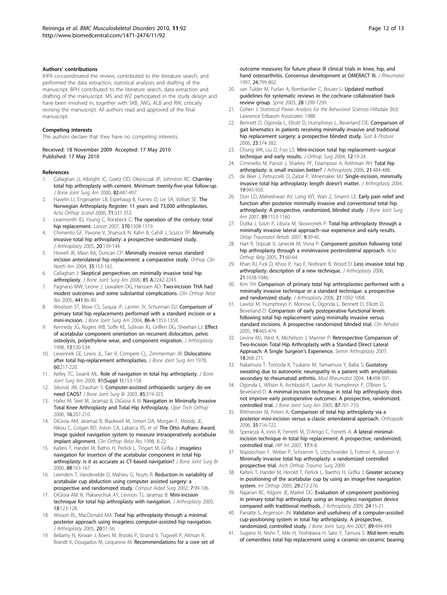#### <span id="page-11-0"></span>Authors' contributions

IHFR co-coordinated the review, contributed to the literature search, and performed the data extraction, statistical analyses and drafting of the manuscript. BPH contributed to the literature search, data extraction and drafting of the manuscript. MS and WZ participated in the study design and have been involved in, together with SKB, JWG, ALB and RW, critically revising the manuscript. All authors read and approved of the final manuscript.

#### Competing interests

The authors declare that they have no competing interests.

Received: 18 November 2009 Accepted: 17 May 2010 Published: 17 May 2010

#### References

- 1. Callaghan JJ, Albright JC, Goetz DD, Olejniczak JP, Johnston RC: [Charnley](http://www.ncbi.nlm.nih.gov/pubmed/10761939?dopt=Abstract) [total hip arthroplasty with cement. Minimum twenty-five-year follow-up.](http://www.ncbi.nlm.nih.gov/pubmed/10761939?dopt=Abstract) J Bone Joint Surg Am 2000, 82:487-497.
- 2. Havelin LI, Engesaeter LB, Espehaug B, Furnes O, Lie SA, Vollset SE: [The](http://www.ncbi.nlm.nih.gov/pubmed/11028881?dopt=Abstract) [Norwegian Arthroplasty Register: 11 years and 73,000 arthroplasties.](http://www.ncbi.nlm.nih.gov/pubmed/11028881?dopt=Abstract) Acta Orthop Scand 2000, 71:337-353.
- 3. Learmonth ID, Young C, Rorabeck C: [The operation of the century: total](http://www.ncbi.nlm.nih.gov/pubmed/17964352?dopt=Abstract) [hip replacement.](http://www.ncbi.nlm.nih.gov/pubmed/17964352?dopt=Abstract) Lancet 2007, 370:1508-1519.
- Chimento GF, Pavone V, Sharrock N, Kahn B, Cahill J, Sculco TP: [Minimally](http://www.ncbi.nlm.nih.gov/pubmed/15902851?dopt=Abstract) [invasive total hip arthroplasty: a prospective randomized study.](http://www.ncbi.nlm.nih.gov/pubmed/15902851?dopt=Abstract) J Arthroplasty 2005, 20:139-144.
- Howell JR, Masri BA, Duncan CP: [Minimally invasive versus standard](http://www.ncbi.nlm.nih.gov/pubmed/15062701?dopt=Abstract) [incision anterolateral hip replacement: a comparative study.](http://www.ncbi.nlm.nih.gov/pubmed/15062701?dopt=Abstract) Orthop Clin North Am 2004, 35:153-162.
- Callaghan J: Skeptical perspectives on minimally invasive total hip arthroplasty. J Bone Joint Surg Am 2006, 85 A:2242-2243.
- 7. Pagnano MW, Leone J, Lewallen DG, Hanssen AD: [Two-incision THA had](http://www.ncbi.nlm.nih.gov/pubmed/16330989?dopt=Abstract) [modest outcomes and some substantial complications.](http://www.ncbi.nlm.nih.gov/pubmed/16330989?dopt=Abstract) Clin Orthop Relat Res 2005, 441:86-90.
- Woolson ST, Mow CS, Syquia JF, Lannin JV, Schurman DJ: [Comparison of](http://www.ncbi.nlm.nih.gov/pubmed/15252080?dopt=Abstract) [primary total hip replacements performed with a standard incision or a](http://www.ncbi.nlm.nih.gov/pubmed/15252080?dopt=Abstract) [mini-incision.](http://www.ncbi.nlm.nih.gov/pubmed/15252080?dopt=Abstract) J Bone Joint Surg Am 2004, 86-A:1353-1358.
- 9. Kennedy JG, Rogers WB, Soffe KE, Sullivan RJ, Griffen DG, Sheehan LJ: [Effect](http://www.ncbi.nlm.nih.gov/pubmed/9726318?dopt=Abstract) [of acetabular component orientation on recurrent dislocation, pelvic](http://www.ncbi.nlm.nih.gov/pubmed/9726318?dopt=Abstract) [osteolysis, polyethylene wear, and component migration.](http://www.ncbi.nlm.nih.gov/pubmed/9726318?dopt=Abstract) J Arthroplasty 1998, 13:530-534.
- 10. Lewinnek GE, Lewis JL, Tarr R, Compere CL, Zimmerman JR: [Dislocations](http://www.ncbi.nlm.nih.gov/pubmed/641088?dopt=Abstract) [after total hip-replacement arthroplasties.](http://www.ncbi.nlm.nih.gov/pubmed/641088?dopt=Abstract) J Bone Joint Surg Am 1978, 60:217-220.
- 11. Kelley TC, Swank ML: [Role of navigation in total hip arthroplasty.](http://www.ncbi.nlm.nih.gov/pubmed/19182044?dopt=Abstract) J Bone Joint Surg Am 2009, 91(Suppl 1):153-158.
- 12. Sikorski JM, Chauhan S: [Computer-assisted orthopaedic surgery: do we](http://www.ncbi.nlm.nih.gov/pubmed/12729101?dopt=Abstract) [need CAOS?](http://www.ncbi.nlm.nih.gov/pubmed/12729101?dopt=Abstract) J Bone Joint Surg Br 2003, 85:319-323.
- 13. Hafez M, Seel M, Jaramaz B, DiGioia A III: Navigation in Minimally Invasive Total Knee Arthroplasty and Total Hip Arthroplasty. Oper Tech Orthop 2006, 16:207-210.
- 14. DiGioia AM, Jaramaz B, Blackwell M, Simon DA, Morgan F, Moody JE, Nikou C, Colgan BD, Aston CA, Labarca RS, et al: The Otto Aufranc Award. Image guided navigation system to measure intraoperatively acetabular implant alignment. Clin Orthop Relat Res 1998, 8-22.
- 15. Kalteis T, Handel M, Bathis H, Perlick L, Tingart M, Grifka J: [Imageless](http://www.ncbi.nlm.nih.gov/pubmed/16434517?dopt=Abstract) [navigation for insertion of the acetabular component in total hip](http://www.ncbi.nlm.nih.gov/pubmed/16434517?dopt=Abstract) [arthroplasty: is it as accurate as CT-based navigation?](http://www.ncbi.nlm.nih.gov/pubmed/16434517?dopt=Abstract) J Bone Joint Surg Br 2006, 88:163-167.
- 16. Leenders T, Vandevelde D, Mahieu G, Nuyts R: [Reduction in variability of](http://www.ncbi.nlm.nih.gov/pubmed/12112719?dopt=Abstract) [acetabular cup abduction using computer assisted surgery: a](http://www.ncbi.nlm.nih.gov/pubmed/12112719?dopt=Abstract) [prospective and randomized study.](http://www.ncbi.nlm.nih.gov/pubmed/12112719?dopt=Abstract) Comput Aided Surg 2002, 7:99-106.
- 17. DiGioia AM III, Plakseychuk AY, Levison TJ, Jaramaz B: [Mini-incision](http://www.ncbi.nlm.nih.gov/pubmed/12629599?dopt=Abstract) [technique for total hip arthroplasty with navigation.](http://www.ncbi.nlm.nih.gov/pubmed/12629599?dopt=Abstract) J Arthroplasty 2003, 18:123-128.
- 18. Wixson RL, MacDonald MA: [Total hip arthroplasty through a minimal](http://www.ncbi.nlm.nih.gov/pubmed/16214003?dopt=Abstract) [posterior approach using imageless computer-assisted hip navigation.](http://www.ncbi.nlm.nih.gov/pubmed/16214003?dopt=Abstract) J Arthroplasty 2005, 20:51-56.
- 19. Bellamy N, Kirwan J, Boers M, Brooks P, Strand V, Tugwell P, Altman R, Brandt K, Dougados M, Lequesne M: [Recommendations for a core set of](http://www.ncbi.nlm.nih.gov/pubmed/9101522?dopt=Abstract)

[outcome measures for future phase III clinical trials in knee, hip, and](http://www.ncbi.nlm.nih.gov/pubmed/9101522?dopt=Abstract) [hand osteoarthritis. Consensus development at OMERACT III.](http://www.ncbi.nlm.nih.gov/pubmed/9101522?dopt=Abstract) J Rheumatol 1997, 24:799-802.

- 20. van Tulder M, Furlan A, Bombardier C, Bouter L: [Updated method](http://www.ncbi.nlm.nih.gov/pubmed/12811274?dopt=Abstract) [guidelines for systematic reviews in the cochrane collaboration back](http://www.ncbi.nlm.nih.gov/pubmed/12811274?dopt=Abstract) [review group.](http://www.ncbi.nlm.nih.gov/pubmed/12811274?dopt=Abstract) Spine 2003, 28:1290-1299.
- 21. Cohen J: Statistical Power Analysis for the Behavioral Sciences Hillsdale (NJ): Lawrence Erlbaum Associates 1988.
- 22. Bennett D, Ogonda L, Elliott D, Humphreys L, Beverland DE: Comparison of gait kinematics in patients receiving minimally invasive and traditional hip replacement surgery: a prospective blinded study. Gait & Posture 2006, 23:374-382.
- 23. Chung WK, Liu D, Foo LS: Mini-incision total hip replacement-surgical technique and early results. J Orthop Surg 2004, 12:19-24.
- 24. Ciminiello M, Parvizi J, Sharkey PF, Eslampour A, Rothman RH: [Total hip](http://www.ncbi.nlm.nih.gov/pubmed/16781398?dopt=Abstract) [arthroplasty: is small incision better?](http://www.ncbi.nlm.nih.gov/pubmed/16781398?dopt=Abstract) J Arthroplasty 2006, 21:484-488.
- 25. de Beer J, Petruccelli D, Zalzal P, Winemaker MJ: [Single-incision, minimally](http://www.ncbi.nlm.nih.gov/pubmed/15586328?dopt=Abstract) [invasive total hip arthroplasty: length doesn](http://www.ncbi.nlm.nih.gov/pubmed/15586328?dopt=Abstract)'t matter. J Arthroplasty 2004, 19:945-950.
- 26. Dorr LD, Maheshwari AV, Long WT, Wan Z, Sirianni LE: [Early pain relief and](http://www.ncbi.nlm.nih.gov/pubmed/17545416?dopt=Abstract) [function after posterior minimally invasive and conventional total hip](http://www.ncbi.nlm.nih.gov/pubmed/17545416?dopt=Abstract) [arthroplasty: A prospective, randomized, blinded study.](http://www.ncbi.nlm.nih.gov/pubmed/17545416?dopt=Abstract) J Bone Joint Surg Am 2007, 89:1153-1160.
- 27. Dutka J, Sosin P, Libura M, Skowronek P: Total hip arthroplasty through a minimally invasive lateral approach–our experience and early results. Ortop Traumatol Rehab 2007, 9:39-45.
- 28. Hart R, Stipcak V, Janecek M, Visna P: [Component position following total](http://www.ncbi.nlm.nih.gov/pubmed/15792209?dopt=Abstract) [hip arthroplasty through a miniinvasive posterolateral approach.](http://www.ncbi.nlm.nih.gov/pubmed/15792209?dopt=Abstract) Acta Orthop Belg 2005, 71:60-64.
- 29. Khan RJ, Fick D, Khoo P, Yao F, Nivbrant B, Wood D: [Less invasive total hip](http://www.ncbi.nlm.nih.gov/pubmed/17027549?dopt=Abstract) [arthroplasty: description of a new technique.](http://www.ncbi.nlm.nih.gov/pubmed/17027549?dopt=Abstract) J Arthroplasty 2006, 21:1038-1046.
- 30. Kim YH: [Comparison of primary total hip arthroplasties performed with a](http://www.ncbi.nlm.nih.gov/pubmed/17162166?dopt=Abstract) [minimally invasive technique or a standard technique: a prospective](http://www.ncbi.nlm.nih.gov/pubmed/17162166?dopt=Abstract) [and randomized study.](http://www.ncbi.nlm.nih.gov/pubmed/17162166?dopt=Abstract) J Arthroplasty 2006, 21:1092-1098.
- 31. Lawlor M, Humphreys P, Morrow E, Ogonda L, Bennett D, Elliott D, Beverland D: [Comparison of early postoperative functional levels](http://www.ncbi.nlm.nih.gov/pubmed/16119401?dopt=Abstract) [following total hip replacement using minimally invasive versus](http://www.ncbi.nlm.nih.gov/pubmed/16119401?dopt=Abstract) [standard incisions. A prospective randomized blinded trial.](http://www.ncbi.nlm.nih.gov/pubmed/16119401?dopt=Abstract) Clin Rehabil 2005, 19:465-474.
- 32. Levine MJ, West K, Michelson J, Manner P: Retrospective Comparison of Two-Incision Total Hip Arthroplasty with a Standard Direct Lateral Approach: A Single Surgeon's Experience. Semin Arthroplasty 2007, 18:268-271.
- 33. Nakamura T, Tomoda K, Tsukano M, Yamamura Y, Baba S: Gustatory sweating due to autonomic neuropathy in a patient with amyloidosis secondary to rheumatoid arthritis. Mod Rheumatol 2004, 14:498-501.
- 34. Ogonda L, Wilson R, Archbold P, Lawlor M, Humphreys P, O'Brien S, Beverland D: [A minimal-incision technique in total hip arthroplasty does](http://www.ncbi.nlm.nih.gov/pubmed/15805196?dopt=Abstract) [not improve early postoperative outcomes: A prospective, randomized,](http://www.ncbi.nlm.nih.gov/pubmed/15805196?dopt=Abstract) [controlled trial.](http://www.ncbi.nlm.nih.gov/pubmed/15805196?dopt=Abstract) J Bone Joint Surg Am 2005, 87:701-710.
- 35. Rittmeister M, Peters A: [Comparison of total hip arthroplasty via a](http://www.ncbi.nlm.nih.gov/pubmed/16688429?dopt=Abstract) [posterior mini-incision versus a classic anterolateral approach.](http://www.ncbi.nlm.nih.gov/pubmed/16688429?dopt=Abstract) Orthopade 2006, 35:716-722.
- 36. Speranza A, Iorio R, Ferretti M, D'Arrigo C, Ferretti A: [A lateral minimal](http://www.ncbi.nlm.nih.gov/pubmed/19197836?dopt=Abstract)[incision technique in total hip replacement: A prospective, randomized,](http://www.ncbi.nlm.nih.gov/pubmed/19197836?dopt=Abstract) [controlled trial.](http://www.ncbi.nlm.nih.gov/pubmed/19197836?dopt=Abstract) HIP Int 2007, 17:4-8.
- 37. Mazoochian F, Weber P, Schramm S, Utzschneider S, Fottner A, Jansson V: [Minimally invasive total hip arthroplasty: a randomized controlled](http://www.ncbi.nlm.nih.gov/pubmed/19424709?dopt=Abstract) [prospective trial.](http://www.ncbi.nlm.nih.gov/pubmed/19424709?dopt=Abstract) Arch Orthop Trauma Surg 2009
- 38. Kalteis T, Handel M, Herold T, Perlick L, Baethis H, Grifka J: [Greater accuracy](http://www.ncbi.nlm.nih.gov/pubmed/16082540?dopt=Abstract) [in positioning of the acetabular cup by using an image-free navigation](http://www.ncbi.nlm.nih.gov/pubmed/16082540?dopt=Abstract) [system.](http://www.ncbi.nlm.nih.gov/pubmed/16082540?dopt=Abstract) Int Orthop 2005, 29:272-276.
- 39. Najarian BC, Kilgore JE, Markel DC: [Evaluation of component positioning](http://www.ncbi.nlm.nih.gov/pubmed/18534411?dopt=Abstract) [in primary total hip arthroplasty using an imageless navigation device](http://www.ncbi.nlm.nih.gov/pubmed/18534411?dopt=Abstract) [compared with traditional methods.](http://www.ncbi.nlm.nih.gov/pubmed/18534411?dopt=Abstract) J Arthroplasty 2009, 24:15-21.
- 40. Parratte S, Argenson JN: [Validation and usefulness of a computer-assisted](http://www.ncbi.nlm.nih.gov/pubmed/17332097?dopt=Abstract) [cup-positioning system in total hip arthroplasty. A prospective,](http://www.ncbi.nlm.nih.gov/pubmed/17332097?dopt=Abstract) [randomized, controlled study.](http://www.ncbi.nlm.nih.gov/pubmed/17332097?dopt=Abstract) J Bone Joint Surg Am 2007, 89:494-499.
- 41. Sugano N, Nishii T, Miki H, Yoshikawa H, Sato Y, Tamura S: [Mid-term results](http://www.ncbi.nlm.nih.gov/pubmed/17463111?dopt=Abstract) [of cementless total hip replacement using a ceramic-on-ceramic bearing](http://www.ncbi.nlm.nih.gov/pubmed/17463111?dopt=Abstract)